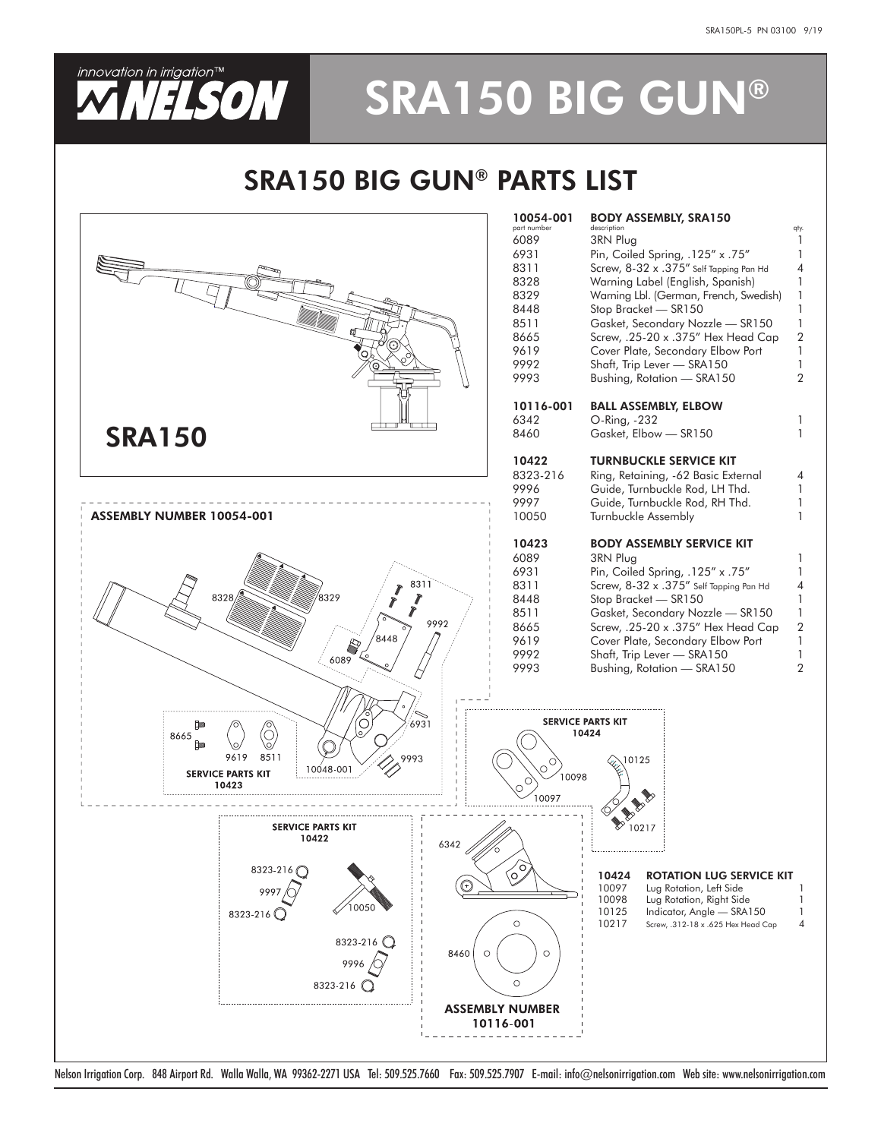

# **WILSON SRA150 BIG GUN®**

## SRA150 BIG GUN® PARTS LIST



Nelson Irrigation Corp. 848 Airport Rd. Walla Walla, WA 99362-2271 USA Tel: 509.525.7660 Fax: 509.525.7907 E-mail: info@nelsonirrigation.com Web site: www.nelsonirrigation.com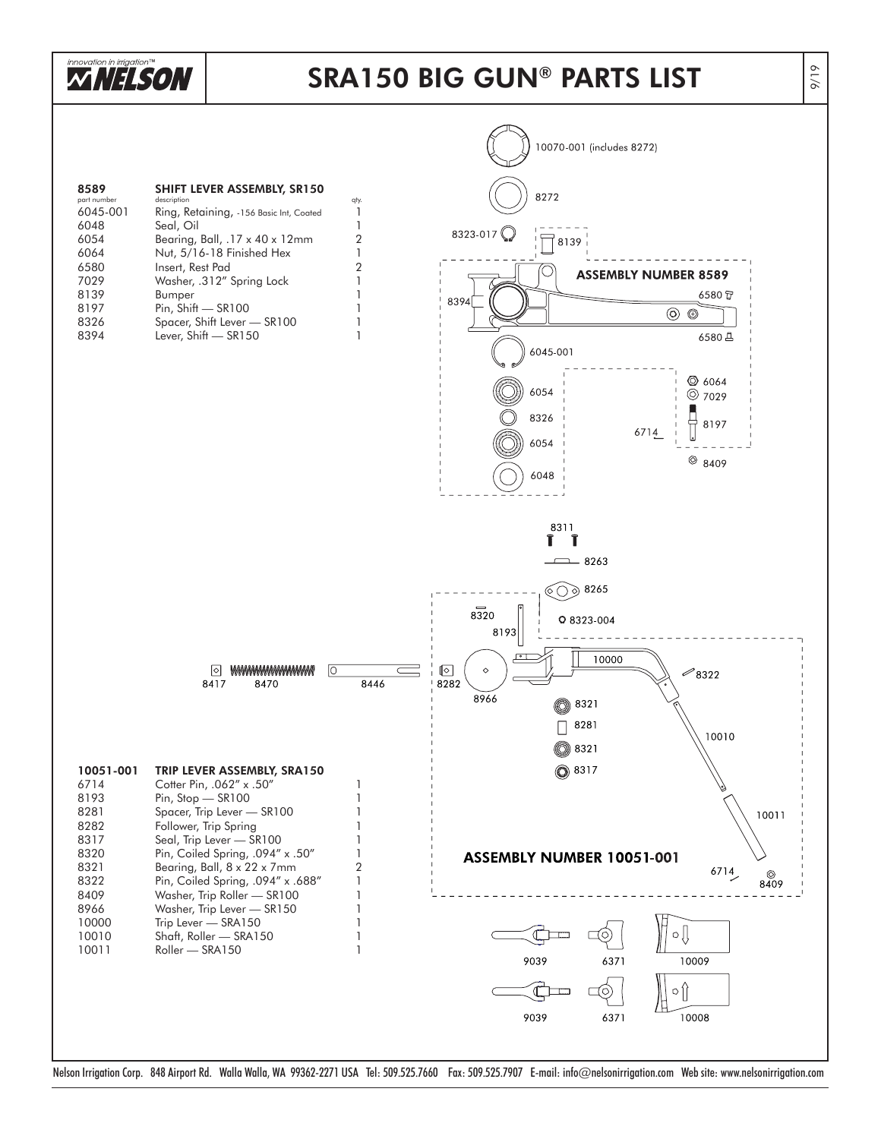

### SRA150 BIG GUN ® PARTS LIST

9/19



Nelson Irrigation Corp. 848 Airport Rd. Walla Walla, WA 99362-2271 USA Tel: 509.525.7660 Fax: 509.525.7907 E-mail: info@nelsonirrigation.com Web site: www.nelsonirrigation.com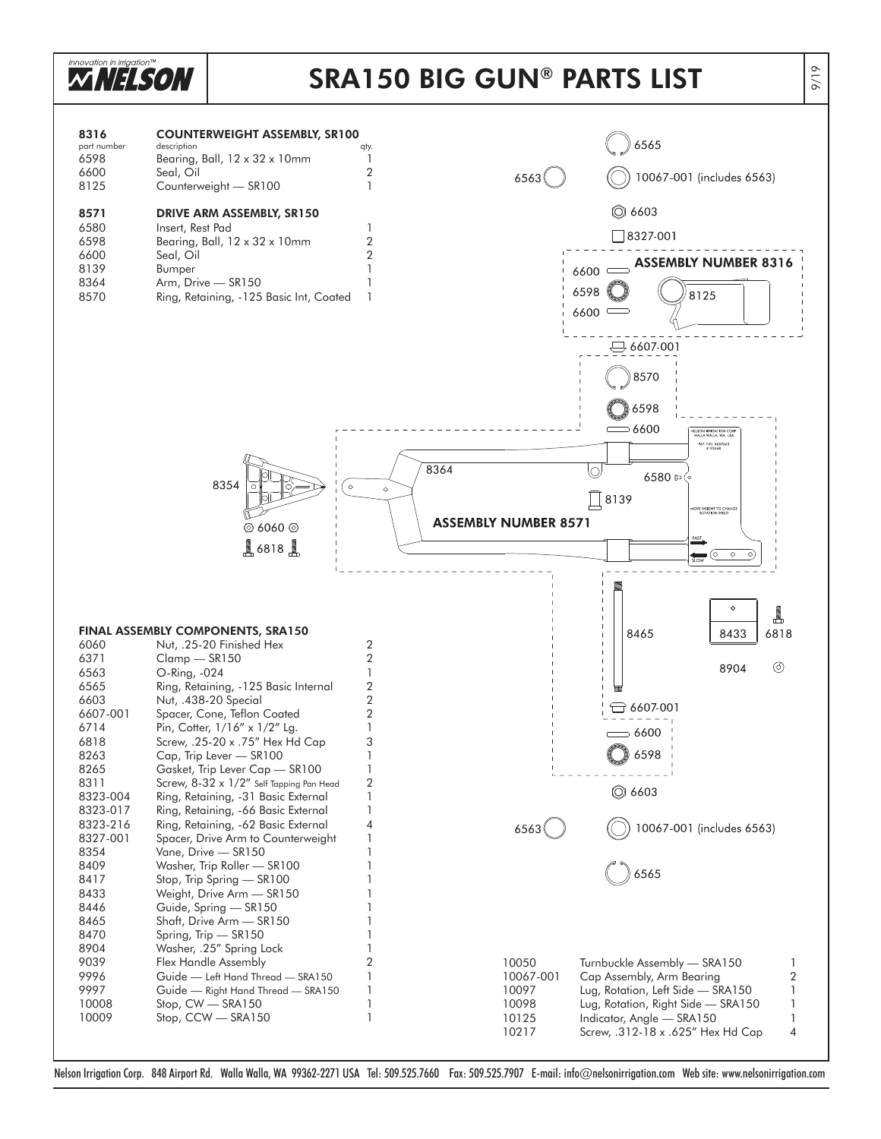

Nelson Irrigation Corp. 848 Airport Rd. Walla Walla, WA 99362-2271 USA Tel: 509.525.7660 Fax: 509.525.7907 E-mail: info@nelsonirrigation.com Web site: www.nelsonirrigation.com